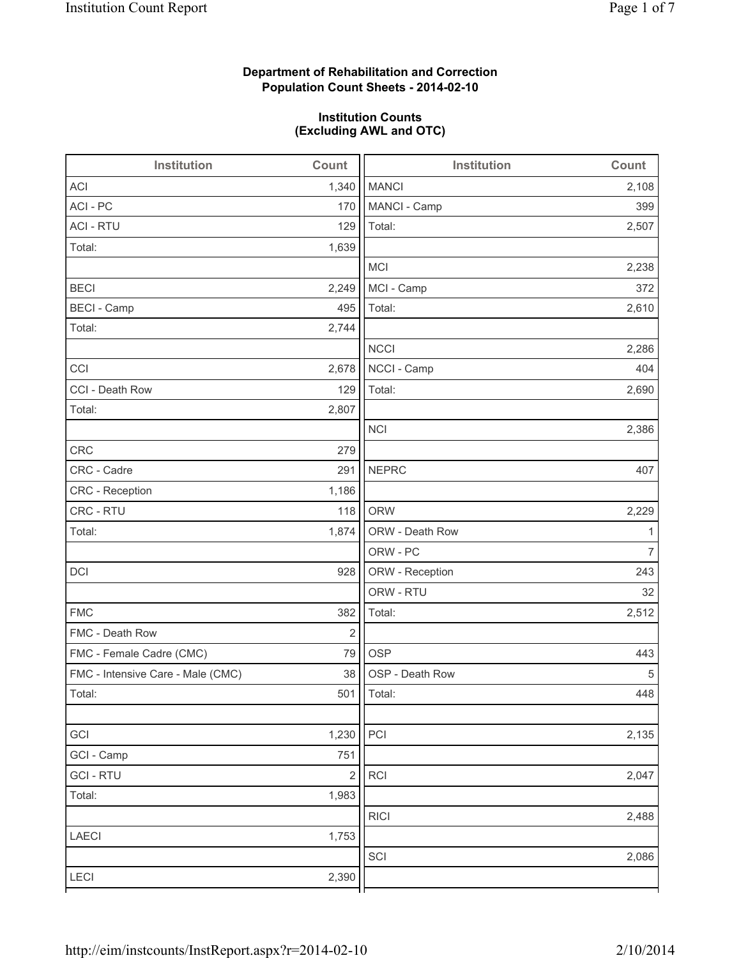# **Department of Rehabilitation and Correction Population Count Sheets - 2014-02-10**

#### **Institution Counts (Excluding AWL and OTC)**

| Institution                       | Count          | Institution     | Count          |
|-----------------------------------|----------------|-----------------|----------------|
| <b>ACI</b>                        | 1,340          | <b>MANCI</b>    | 2,108          |
| ACI - PC                          | 170            | MANCI - Camp    | 399            |
| <b>ACI - RTU</b>                  | 129            | Total:          | 2,507          |
| Total:                            | 1,639          |                 |                |
|                                   |                | MCI             | 2,238          |
| <b>BECI</b>                       | 2,249          | MCI - Camp      | 372            |
| <b>BECI - Camp</b>                | 495            | Total:          | 2,610          |
| Total:                            | 2,744          |                 |                |
|                                   |                | <b>NCCI</b>     | 2,286          |
| CCI                               | 2,678          | NCCI - Camp     | 404            |
| CCI - Death Row                   | 129            | Total:          | 2,690          |
| Total:                            | 2,807          |                 |                |
|                                   |                | <b>NCI</b>      | 2,386          |
| <b>CRC</b>                        | 279            |                 |                |
| CRC - Cadre                       | 291            | <b>NEPRC</b>    | 407            |
| CRC - Reception                   | 1,186          |                 |                |
| CRC - RTU                         | 118            | <b>ORW</b>      | 2,229          |
| Total:                            | 1,874          | ORW - Death Row | 1              |
|                                   |                | ORW - PC        | $\overline{7}$ |
| DCI                               | 928            | ORW - Reception | 243            |
|                                   |                | ORW - RTU       | 32             |
| <b>FMC</b>                        | 382            | Total:          | 2,512          |
| FMC - Death Row                   | $\overline{2}$ |                 |                |
| FMC - Female Cadre (CMC)          | 79             | <b>OSP</b>      | 443            |
| FMC - Intensive Care - Male (CMC) | 38             | OSP - Death Row | 5              |
| Total:                            | 501            | Total:          | 448            |
|                                   |                |                 |                |
| GCI                               | 1,230          | PCI             | 2,135          |
| GCI - Camp                        | 751            |                 |                |
| <b>GCI-RTU</b>                    | $\sqrt{2}$     | <b>RCI</b>      | 2,047          |
| Total:                            | 1,983          |                 |                |
|                                   |                | <b>RICI</b>     | 2,488          |
| <b>LAECI</b>                      | 1,753          |                 |                |
|                                   |                | SCI             | 2,086          |
| LECI                              | 2,390          |                 |                |
|                                   |                |                 |                |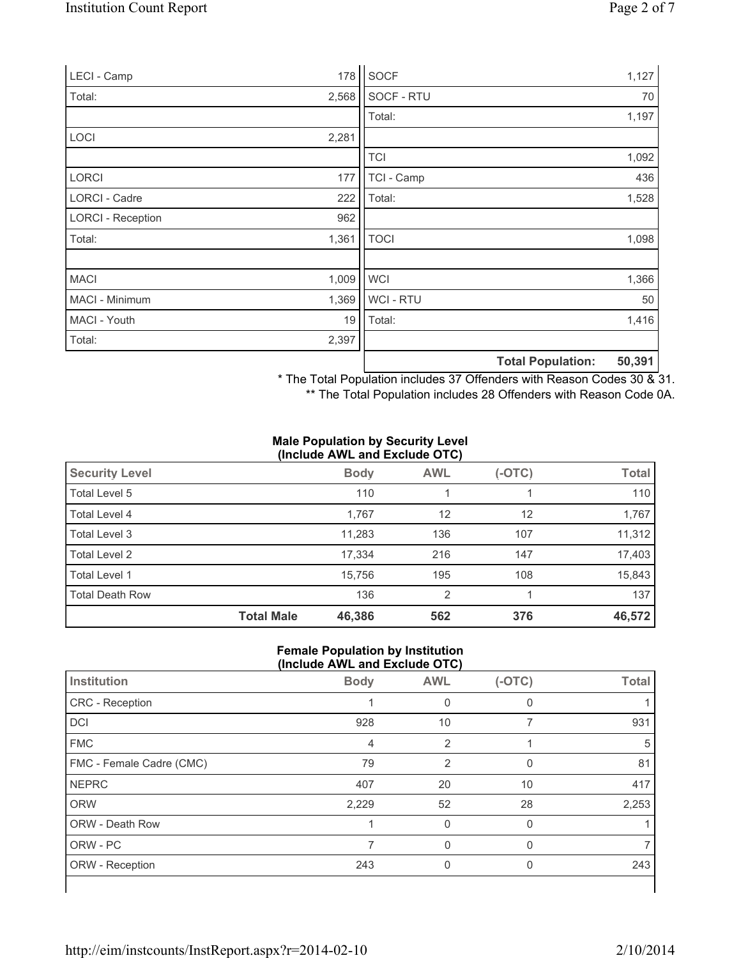| LECI - Camp              | 178   | SOCF        |                          | 1,127  |
|--------------------------|-------|-------------|--------------------------|--------|
| Total:                   | 2,568 | SOCF - RTU  |                          | 70     |
|                          |       | Total:      |                          | 1,197  |
| <b>LOCI</b>              | 2,281 |             |                          |        |
|                          |       | <b>TCI</b>  |                          | 1,092  |
| <b>LORCI</b>             | 177   | TCI - Camp  |                          | 436    |
| LORCI - Cadre            | 222   | Total:      |                          | 1,528  |
| <b>LORCI - Reception</b> | 962   |             |                          |        |
| Total:                   | 1,361 | <b>TOCI</b> |                          | 1,098  |
|                          |       |             |                          |        |
| <b>MACI</b>              | 1,009 | <b>WCI</b>  |                          | 1,366  |
| MACI - Minimum           | 1,369 | WCI - RTU   |                          | 50     |
| MACI - Youth             | 19    | Total:      |                          | 1,416  |
| Total:                   | 2,397 |             |                          |        |
|                          |       |             | <b>Total Population:</b> | 50,391 |

\* The Total Population includes 37 Offenders with Reason Codes 30 & 31.

\*\* The Total Population includes 28 Offenders with Reason Code 0A.

#### **Male Population by Security Level (Include AWL and Exclude OTC)**

| <b>Security Level</b>  |                   | <b>Body</b> | <b>AWL</b>     | $(-OTC)$ | <b>Total</b> |  |  |
|------------------------|-------------------|-------------|----------------|----------|--------------|--|--|
| Total Level 5          |                   | 110         |                |          | 110          |  |  |
| Total Level 4          |                   | 1,767       | 12             | 12       | 1,767        |  |  |
| Total Level 3          |                   | 11,283      | 136            | 107      | 11,312       |  |  |
| Total Level 2          |                   | 17,334      | 216            | 147      | 17,403       |  |  |
| Total Level 1          |                   | 15,756      | 195            | 108      | 15,843       |  |  |
| <b>Total Death Row</b> |                   | 136         | $\overline{2}$ |          | 137          |  |  |
|                        | <b>Total Male</b> | 46,386      | 562            | 376      | 46,572       |  |  |

#### **Female Population by Institution (Include AWL and Exclude OTC)**

| Institution              | <b>Body</b> | <b>AWL</b> | $(-OTC)$ | <b>Total</b> |
|--------------------------|-------------|------------|----------|--------------|
| CRC - Reception          |             |            | 0        |              |
| DCI                      | 928         | 10         |          | 931          |
| <b>FMC</b>               | 4           | 2          |          | 5            |
| FMC - Female Cadre (CMC) | 79          | 2          | 0        | 81           |
| <b>NEPRC</b>             | 407         | 20         | 10       | 417          |
| <b>ORW</b>               | 2,229       | 52         | 28       | 2,253        |
| <b>ORW - Death Row</b>   |             | 0          | $\Omega$ |              |
| ORW - PC                 |             |            |          |              |
| ORW - Reception          | 243         | 0          | 0        | 243          |
|                          |             |            |          |              |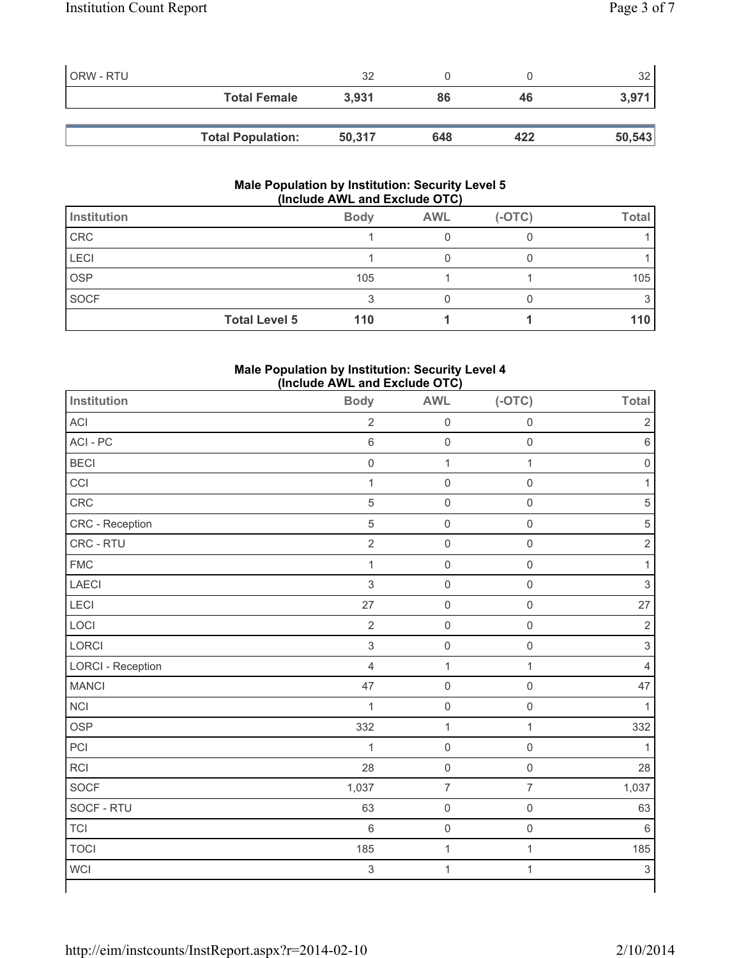| ORW - RTU |                          | 32     |     |     | つ      |
|-----------|--------------------------|--------|-----|-----|--------|
|           | <b>Total Female</b>      | 3.931  | 86  | 46  |        |
|           |                          |        |     |     |        |
|           | <b>Total Population:</b> | 50,317 | 648 | 422 | 50,543 |

#### **Male Population by Institution: Security Level 5 (Include AWL and Exclude OTC)**

| Institution          | <b>Body</b> | <b>AWL</b> | $(-OTC)$ | <b>Total</b> |
|----------------------|-------------|------------|----------|--------------|
| CRC                  |             |            |          |              |
| LECI                 |             |            |          |              |
| <b>OSP</b>           | 105         |            |          | 105          |
| <b>SOCF</b>          | ◠           |            |          |              |
| <b>Total Level 5</b> | 110         |            |          | 110          |

## **Male Population by Institution: Security Level 4 (Include AWL and Exclude OTC)**

| <b>Institution</b> | <b>Body</b>      | <b>AWL</b>          | $(-OTC)$            | <b>Total</b>        |
|--------------------|------------------|---------------------|---------------------|---------------------|
| ACI                | $\overline{2}$   | $\mathsf 0$         | 0                   | $\sqrt{2}$          |
| ACI-PC             | $\,6\,$          | $\mathsf 0$         | $\mathbf 0$         | $\,6\,$             |
| <b>BECI</b>        | $\boldsymbol{0}$ | $\mathbf 1$         | $\mathbf{1}$        | $\mathsf{O}\xspace$ |
| CCI                | $\mathbf{1}$     | $\mathbf 0$         | $\mathsf{O}\xspace$ | 1                   |
| CRC                | 5                | $\mathsf{O}\xspace$ | $\mathbf 0$         | 5                   |
| CRC - Reception    | $\overline{5}$   | $\mathsf{O}\xspace$ | $\mathsf{O}\xspace$ | $\,$ 5 $\,$         |
| CRC - RTU          | $\overline{2}$   | $\mathsf{O}\xspace$ | $\mathbf 0$         | $\mathbf 2$         |
| <b>FMC</b>         | $\mathbf{1}$     | $\mathsf{O}\xspace$ | $\mathbf 0$         | $\mathbf{1}$        |
| <b>LAECI</b>       | $\mathfrak{S}$   | $\mathsf{O}\xspace$ | $\mathsf{O}\xspace$ | $\mathsf 3$         |
| LECI               | 27               | $\mathsf{O}\xspace$ | $\mathbf 0$         | 27                  |
| LOCI               | $\sqrt{2}$       | $\mathsf{O}\xspace$ | $\mathsf{O}\xspace$ | $\overline{2}$      |
| LORCI              | $\mathfrak{S}$   | $\mathsf{O}\xspace$ | $\mathsf{O}\xspace$ | $\mathsf 3$         |
| LORCI - Reception  | $\overline{4}$   | $\mathbf{1}$        | $\mathbf{1}$        | 4                   |
| <b>MANCI</b>       | 47               | $\mathsf{O}\xspace$ | $\mathsf{O}\xspace$ | 47                  |
| <b>NCI</b>         | $\mathbf{1}$     | $\mathsf{O}$        | $\mathbf 0$         | 1                   |
| <b>OSP</b>         | 332              | $\mathbf{1}$        | $\mathbf{1}$        | 332                 |
| PCI                | $\mathbf 1$      | $\mathsf{O}\xspace$ | $\mathsf{O}\xspace$ | 1                   |
| RCI                | 28               | $\mathsf{O}\xspace$ | $\mathsf 0$         | 28                  |
| SOCF               | 1,037            | $\overline{7}$      | $\overline{7}$      | 1,037               |
| SOCF - RTU         | 63               | $\mathsf{O}\xspace$ | $\mathsf{O}\xspace$ | 63                  |
| <b>TCI</b>         | 6                | $\mathsf{O}\xspace$ | $\mathsf{O}\xspace$ | $6\phantom{1}6$     |
| <b>TOCI</b>        | 185              | $\mathbf{1}$        | $\mathbf{1}$        | 185                 |
| <b>WCI</b>         | $\mathfrak{S}$   | $\mathbf{1}$        | $\mathbf{1}$        | $\mathsf 3$         |
|                    |                  |                     |                     |                     |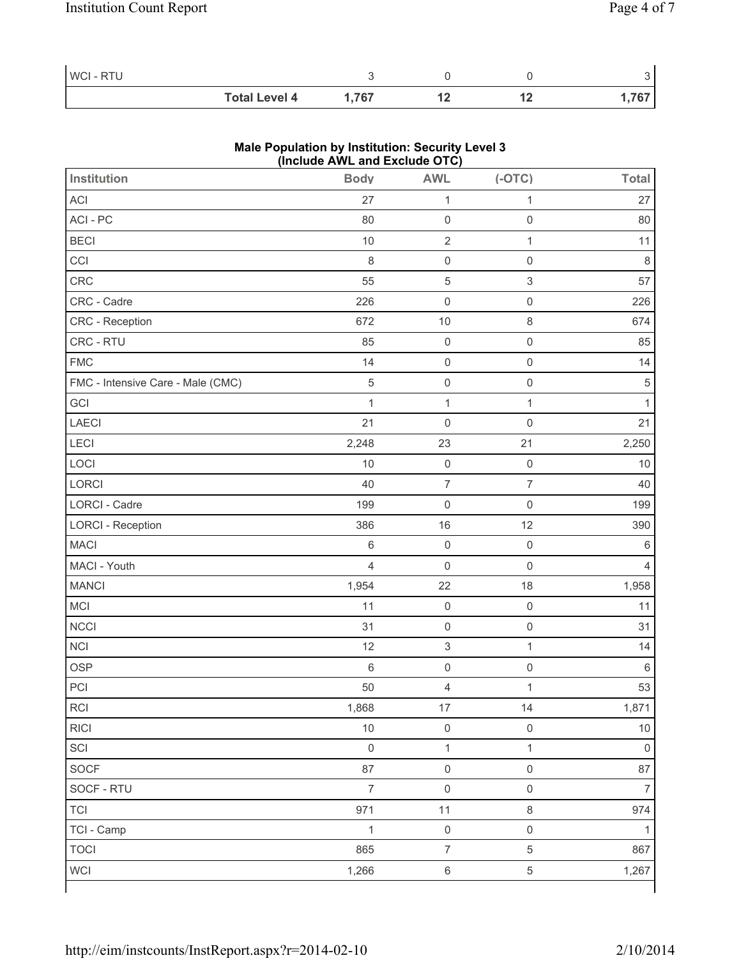| WCI - RTU |                      |       |     |        |
|-----------|----------------------|-------|-----|--------|
|           | <b>Total Level 4</b> | 1,767 | . . | $7C^-$ |

### **Male Population by Institution: Security Level 3 (Include AWL and Exclude OTC)**

| <b>Institution</b>                | <b>Body</b>         | <b>AWL</b>              | $(-OTC)$                  | <b>Total</b>   |
|-----------------------------------|---------------------|-------------------------|---------------------------|----------------|
| ACI                               | 27                  | $\mathbf{1}$            | $\mathbf{1}$              | 27             |
| ACI - PC                          | 80                  | $\mathsf{O}\xspace$     | $\mathsf{O}\xspace$       | 80             |
| <b>BECI</b>                       | 10                  | $\sqrt{2}$              | $\mathbf{1}$              | 11             |
| CCI                               | 8                   | $\mathsf{O}\xspace$     | $\mathsf{O}\xspace$       | $\,8\,$        |
| CRC                               | 55                  | $\sqrt{5}$              | $\ensuremath{\mathsf{3}}$ | 57             |
| CRC - Cadre                       | 226                 | $\mathsf 0$             | $\mathsf 0$               | 226            |
| CRC - Reception                   | 672                 | $10$                    | $\,8\,$                   | 674            |
| CRC - RTU                         | 85                  | $\mathsf{O}\xspace$     | $\mathsf 0$               | 85             |
| <b>FMC</b>                        | 14                  | $\mathsf{O}\xspace$     | $\mathsf{O}\xspace$       | 14             |
| FMC - Intensive Care - Male (CMC) | $\overline{5}$      | $\mathsf 0$             | $\mathsf{O}\xspace$       | $\sqrt{5}$     |
| GCI                               | $\mathbf{1}$        | $\mathbf{1}$            | $\mathbf{1}$              | $\mathbf{1}$   |
| <b>LAECI</b>                      | 21                  | $\mathsf{O}\xspace$     | $\mathbf 0$               | 21             |
| LECI                              | 2,248               | 23                      | 21                        | 2,250          |
| LOCI                              | 10                  | $\mathsf{O}\xspace$     | $\mathsf{O}\xspace$       | 10             |
| LORCI                             | 40                  | $\overline{7}$          | $\overline{7}$            | 40             |
| LORCI - Cadre                     | 199                 | $\mathsf 0$             | $\mathbf 0$               | 199            |
| <b>LORCI - Reception</b>          | 386                 | 16                      | 12                        | 390            |
| <b>MACI</b>                       | 6                   | $\mathsf{O}\xspace$     | $\mathsf{O}\xspace$       | $\,6$          |
| MACI - Youth                      | 4                   | $\mathsf 0$             | $\mathbf 0$               | $\overline{4}$ |
| <b>MANCI</b>                      | 1,954               | 22                      | 18                        | 1,958          |
| MCI                               | 11                  | $\mathsf 0$             | $\mathsf{O}\xspace$       | 11             |
| <b>NCCI</b>                       | 31                  | $\mathsf{O}\xspace$     | $\mathsf{O}\xspace$       | 31             |
| <b>NCI</b>                        | 12                  | $\,$ 3 $\,$             | $\mathbf{1}$              | 14             |
| <b>OSP</b>                        | $\,6$               | $\mathsf{O}\xspace$     | $\mathsf{O}\xspace$       | $\,6\,$        |
| PCI                               | 50                  | $\overline{\mathbf{4}}$ | $\mathbf 1$               | 53             |
| $\sf RCI$                         | 1,868               | $17\,$                  | 14                        | 1,871          |
| <b>RICI</b>                       | 10                  | $\mathsf{O}\xspace$     | $\mathbf 0$               | $10$           |
| SCI                               | $\mathsf{O}\xspace$ | $\mathbf{1}$            | $\mathbf{1}$              | $\mathsf 0$    |
| SOCF                              | 87                  | $\mathsf{O}\xspace$     | $\mathbf 0$               | 87             |
| SOCF - RTU                        | $\overline{7}$      | $\mathsf{O}\xspace$     | $\mathsf{O}\xspace$       | $\overline{7}$ |
| <b>TCI</b>                        | 971                 | 11                      | $\,8\,$                   | 974            |
| TCI - Camp                        | $\mathbf{1}$        | $\mathsf{O}\xspace$     | $\mathsf 0$               | 1              |
| <b>TOCI</b>                       | 865                 | $\overline{7}$          | $\sqrt{5}$                | 867            |
| <b>WCI</b>                        | 1,266               | $\,6\,$                 | $\,$ 5 $\,$               | 1,267          |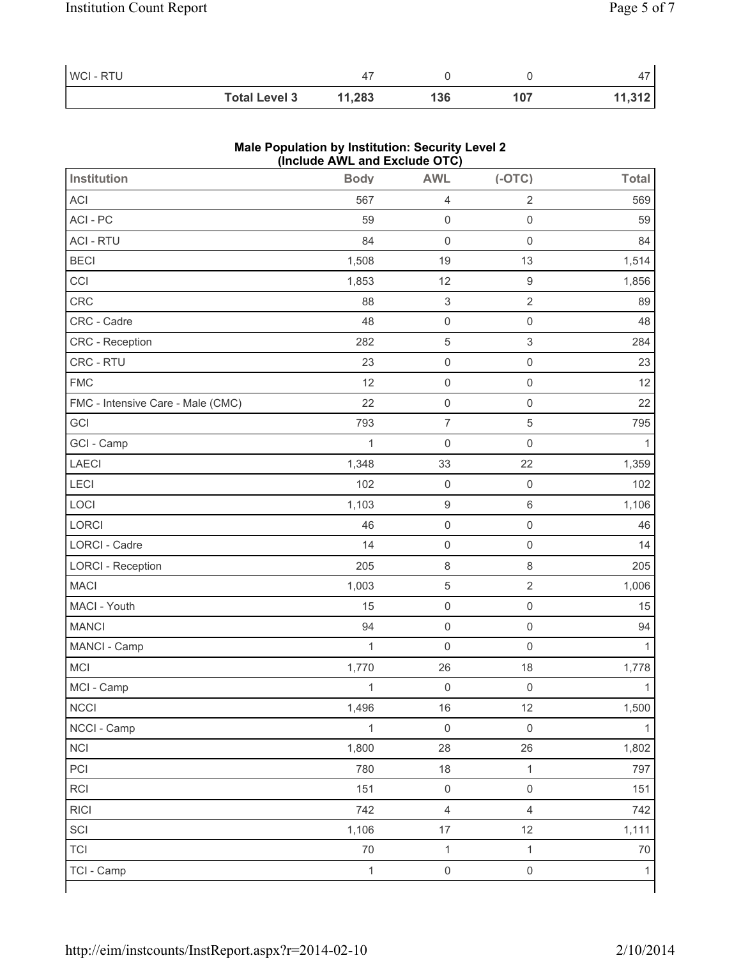| WCI-RTU |                      |        |     |     |        |
|---------|----------------------|--------|-----|-----|--------|
|         | <b>Total Level 3</b> | 11,283 | 136 | 107 | 11,312 |

## **Male Population by Institution: Security Level 2 (Include AWL and Exclude OTC)**

| <b>Institution</b>                | <b>Body</b>  | <b>AWL</b>                | $(-OTC)$            | <b>Total</b> |
|-----------------------------------|--------------|---------------------------|---------------------|--------------|
| <b>ACI</b>                        | 567          | $\overline{4}$            | $\sqrt{2}$          | 569          |
| ACI-PC                            | 59           | $\mathsf 0$               | $\mathsf{O}\xspace$ | 59           |
| <b>ACI - RTU</b>                  | 84           | $\mathsf{O}\xspace$       | $\mathbf 0$         | 84           |
| <b>BECI</b>                       | 1,508        | 19                        | 13                  | 1,514        |
| CCI                               | 1,853        | 12                        | $\boldsymbol{9}$    | 1,856        |
| CRC                               | 88           | $\ensuremath{\mathsf{3}}$ | $\sqrt{2}$          | 89           |
| CRC - Cadre                       | 48           | $\mathsf 0$               | $\mathsf{O}\xspace$ | 48           |
| CRC - Reception                   | 282          | $\,$ 5 $\,$               | $\sqrt{3}$          | 284          |
| CRC - RTU                         | 23           | $\mathsf 0$               | $\mathsf{O}\xspace$ | 23           |
| <b>FMC</b>                        | 12           | $\mathsf{O}\xspace$       | $\mathsf{O}\xspace$ | 12           |
| FMC - Intensive Care - Male (CMC) | 22           | $\mathsf 0$               | $\mathbf 0$         | 22           |
| GCI                               | 793          | $\overline{\mathcal{I}}$  | 5                   | 795          |
| GCI - Camp                        | $\mathbf 1$  | $\mathsf{O}\xspace$       | $\mathbf 0$         | 1            |
| LAECI                             | 1,348        | 33                        | 22                  | 1,359        |
| LECI                              | 102          | $\mathsf{O}\xspace$       | $\mathsf{O}\xspace$ | 102          |
| LOCI                              | 1,103        | $\boldsymbol{9}$          | $\,6$               | 1,106        |
| LORCI                             | 46           | $\mathsf{O}\xspace$       | $\mathsf{O}\xspace$ | 46           |
| LORCI - Cadre                     | 14           | $\mathsf{O}\xspace$       | $\mathbf 0$         | 14           |
| <b>LORCI - Reception</b>          | 205          | $\,8\,$                   | 8                   | 205          |
| <b>MACI</b>                       | 1,003        | $\,$ 5 $\,$               | $\sqrt{2}$          | 1,006        |
| MACI - Youth                      | 15           | $\mathsf 0$               | $\mathbf 0$         | 15           |
| <b>MANCI</b>                      | 94           | $\mathsf{O}\xspace$       | $\mathsf{O}\xspace$ | 94           |
| MANCI - Camp                      | $\mathbf 1$  | $\mathsf{O}\xspace$       | $\mathbf 0$         | 1            |
| <b>MCI</b>                        | 1,770        | 26                        | 18                  | 1,778        |
| MCI - Camp                        | $\mathbf{1}$ | $\mathsf{O}\xspace$       | $\mathsf{O}\xspace$ | $\mathbf{1}$ |
| NCCI                              | 1,496        | $16\,$                    | 12                  | 1,500        |
| NCCI - Camp                       | $\mathbf 1$  | $\mathsf 0$               | $\mathbf 0$         | 1            |
| <b>NCI</b>                        | 1,800        | 28                        | 26                  | 1,802        |
| PCI                               | 780          | 18                        | $\mathbf{1}$        | 797          |
| RCI                               | 151          | $\mathsf{O}\xspace$       | $\mathsf{O}\xspace$ | 151          |
| <b>RICI</b>                       | 742          | $\overline{4}$            | $\overline{4}$      | 742          |
| SCI                               | 1,106        | $17\,$                    | 12                  | 1,111        |
| <b>TCI</b>                        | $70\,$       | $\mathbf{1}$              | $\mathbf{1}$        | $70$         |
| TCI - Camp                        | $\mathbf{1}$ | $\mathsf{O}\xspace$       | $\mathsf{O}\xspace$ | $\mathbf{1}$ |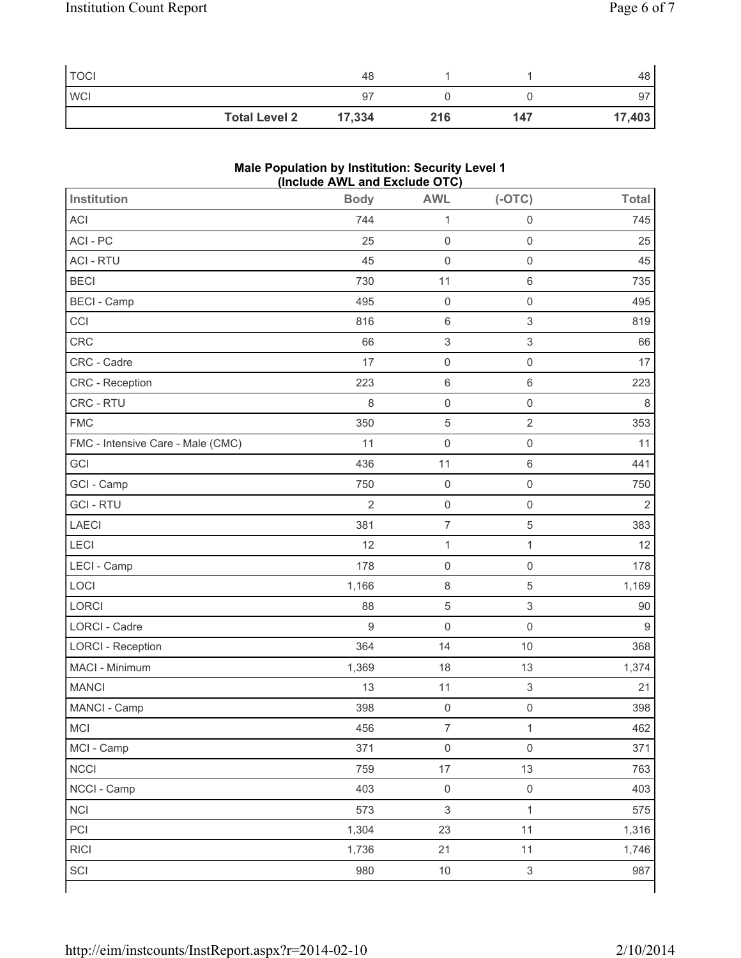| <b>TOCI</b> |                      | 48     |     |     | 48     |
|-------------|----------------------|--------|-----|-----|--------|
| <b>WCI</b>  |                      | 97     |     |     | 97     |
|             | <b>Total Level 2</b> | 17,334 | 216 | 147 | 17,403 |

## **Male Population by Institution: Security Level 1 (Include AWL and Exclude OTC)**

| Institution                       | <b>Body</b>    | <b>AWL</b>                | $(-OTC)$                  | <b>Total</b>   |
|-----------------------------------|----------------|---------------------------|---------------------------|----------------|
| <b>ACI</b>                        | 744            | $\mathbf{1}$              | $\mathsf{O}\xspace$       | 745            |
| ACI - PC                          | 25             | $\mathsf{O}\xspace$       | $\mathsf{O}\xspace$       | 25             |
| <b>ACI - RTU</b>                  | 45             | $\mathsf 0$               | $\mathsf{O}\xspace$       | 45             |
| <b>BECI</b>                       | 730            | 11                        | $\,6$                     | 735            |
| <b>BECI - Camp</b>                | 495            | $\mathsf 0$               | $\mathbf 0$               | 495            |
| CCI                               | 816            | $\,6\,$                   | $\ensuremath{\mathsf{3}}$ | 819            |
| CRC                               | 66             | $\ensuremath{\mathsf{3}}$ | $\ensuremath{\mathsf{3}}$ | 66             |
| CRC - Cadre                       | 17             | $\mathsf 0$               | $\mathsf{O}\xspace$       | 17             |
| CRC - Reception                   | 223            | $\,6\,$                   | $\,6\,$                   | 223            |
| CRC - RTU                         | 8              | $\mathsf{O}\xspace$       | $\mathbf 0$               | $\,8\,$        |
| <b>FMC</b>                        | 350            | $\sqrt{5}$                | $\overline{2}$            | 353            |
| FMC - Intensive Care - Male (CMC) | 11             | $\mathsf{O}\xspace$       | $\mathsf{O}\xspace$       | 11             |
| GCI                               | 436            | 11                        | $\,6\,$                   | 441            |
| GCI - Camp                        | 750            | $\mathsf{O}\xspace$       | $\mathsf{O}\xspace$       | 750            |
| <b>GCI-RTU</b>                    | $\overline{2}$ | $\mathsf 0$               | $\mathbf 0$               | $\overline{2}$ |
| <b>LAECI</b>                      | 381            | $\boldsymbol{7}$          | 5                         | 383            |
| LECI                              | 12             | $\mathbf{1}$              | $\mathbf 1$               | 12             |
| LECI - Camp                       | 178            | $\mathsf 0$               | $\mathsf{O}\xspace$       | 178            |
| LOCI                              | 1,166          | $\,8\,$                   | 5                         | 1,169          |
| LORCI                             | 88             | $\sqrt{5}$                | $\,$ 3 $\,$               | 90             |
| LORCI - Cadre                     | 9              | $\mathsf{O}\xspace$       | $\mathbf 0$               | $\overline{9}$ |
| <b>LORCI - Reception</b>          | 364            | 14                        | 10                        | 368            |
| MACI - Minimum                    | 1,369          | 18                        | 13                        | 1,374          |
| <b>MANCI</b>                      | 13             | 11                        | $\mathsf 3$               | 21             |
| MANCI - Camp                      | 398            | $\mathsf 0$               | $\mathsf{O}\xspace$       | 398            |
| MCI                               | 456            | $\overline{7}$            | $\mathbf 1$               | 462            |
| MCI - Camp                        | 371            | $\mathsf{O}\xspace$       | $\mathsf{O}\xspace$       | 371            |
| <b>NCCI</b>                       | 759            | $17\,$                    | 13                        | 763            |
| NCCI - Camp                       | 403            | $\mathsf 0$               | $\mathsf{O}\xspace$       | 403            |
| <b>NCI</b>                        | 573            | $\ensuremath{\mathsf{3}}$ | $\mathbf 1$               | 575            |
| PCI                               | 1,304          | 23                        | 11                        | 1,316          |
| <b>RICI</b>                       | 1,736          | 21                        | 11                        | 1,746          |
| SCI                               | 980            | $10$                      | $\ensuremath{\mathsf{3}}$ | 987            |